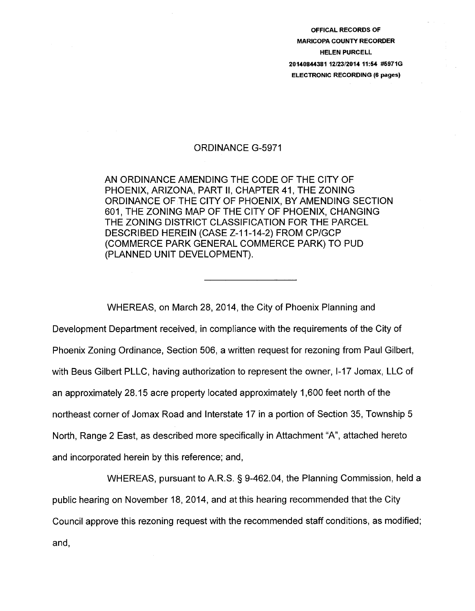OFFICAL RECORDS OF MARICOPA COUNTY RECORDER HELEN PURCELL 20140844381 12/23/2014 11:54 #5971G ELECTRONIC RECORDING (6 pages)

### ORDINANCE G-5971

AN ORDINANCE AMENDING THE CODE OF THE CITY OF PHOENIX, ARIZONA, PART II, CHAPTER 41, THE ZONING ORDINANCE OF THE CITY OF PHOENIX, BY AMENDING SECTION 601, THE ZONING MAP OF THE CITY OF PHOENIX, CHANGING THE ZONING DISTRICT CLASSIFICATION FOR THE PARCEL DESCRIBED HEREIN (CASE Z-11-14-2) FROM CP/GCP (COMMERCE PARK GENERAL COMMERCE PARK) TO PUD (PLANNED UNIT DEVELOPMENT).

WHEREAS, on March 28, 2014, the City of Phoenix Planning and Development Department received, in compliance with the requirements of the City of Phoenix Zoning Ordinance, Section 506, a written request for rezoning from Paul Gilbert, with Beus Gilbert PLLC, having authorization to represent the owner, 1-17 Jomax, LLC of an approximately 28.15 acre property located approximately 1 ,600 feet north of the northeast corner of Jomax Road and Interstate 17 in a portion of Section 35, Township 5 North, Range 2 East, as described more specifically in Attachment "A", attached hereto and incorporated herein by this reference; and,

WHEREAS, pursuant to A.R.S. § 9-462.04, the Planning Commission, held a public hearing on November 18, 2014, and at this hearing recommended that the City Council approve this rezoning request with the recommended staff conditions, as modified; and,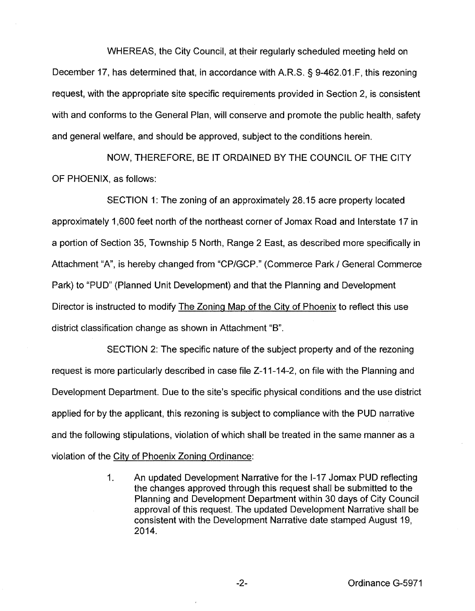WHEREAS, the City Council, at their regularly scheduled meeting held on December 17, has determined that, in accordance with A.R.S. § 9-462.01.F, this rezoning request, with the appropriate site specific requirements provided in Section 2, is consistent with and conforms to the General Plan, will conserve and promote the public health, safety and general welfare, and should be approved, subject to the conditions herein.

NOW, THEREFORE, BE IT ORDAINED BY THE COUNCIL OF THE CITY OF PHOENIX, as follows:

SECTION 1: The zoning of an approximately 28.15 acre property located approximately 1 ,600 feet north of the northeast corner of Jomax Road and Interstate 17 in a portion of Section 35, Township 5 North, Range 2 East, as described more specifically in Attachment "A", is hereby changed from "CP/GCP." (Commerce Park / General Commerce Park) to "PUD" (Planned Unit Development) and that the Planning and Development Director is instructed to modify The Zoning Map of the City of Phoenix to reflect this use district classification change as shown in Attachment "B".

SECTION 2: The specific nature of the subject property and of the rezoning request is more particularly described in case file Z-11-14-2, on file with the Planning and Development Department. Due to the site's specific physical conditions and the use district applied for by the applicant, this rezoning is subject to compliance with the PUD narrative and the following stipulations, violation of which shall be treated in the same manner as a violation of the City of Phoenix Zoning Ordinance:

> 1. An updated Development Narrative for the 1-17 Jomax PUD reflecting the changes approved through this request shall be submitted to the Planning and Development Department within 30 days of City Council approval of this request. The updated Development Narrative shall be consistent with the Development Narrative date stamped August 19, 2014.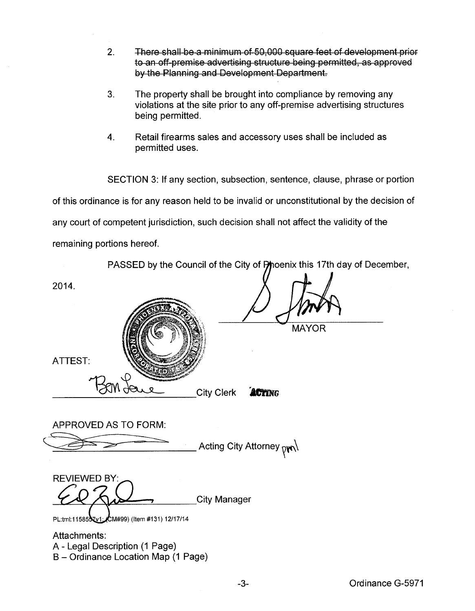- 2. There shall be a minimum of 50,000 square feet of development prior to an off premise advertising structure being permitted, as approved by the Planning and Development Department.
- 3. The property shall be brought into compliance by removing any violations at the site prior to any off-premise advertising structures being permitted.
- 4. Retail firearms sales and accessory uses shall be included as permitted uses.

SECTION 3: If any section, subsection, sentence, clause, phrase or portion of this ordinance is for any reason held to be invalid or unconstitutional by the decision of any court of competent jurisdiction, such decision shall not affect the validity of the remaining portions hereof.

| PASSED by the Council of the City of Phoenix this 17th day of December,               |
|---------------------------------------------------------------------------------------|
| 2014.                                                                                 |
| <b>MAYOR</b>                                                                          |
| <b>ATTEST:</b>                                                                        |
| <b>City Clerk</b><br><b>ACTING</b>                                                    |
| <b>APPROVED AS TO FORM:</b>                                                           |
| Acting City Attorney <sub>pγ∩</sub> \                                                 |
| <b>REVIEWED BY:</b>                                                                   |
| <b>City Manager</b><br>PL:tml:1158557v1: CM#99) (Item #131) 12/17/14                  |
| Attachments:<br>A - Legal Description (1 Page)<br>B - Ordinance Location Map (1 Page) |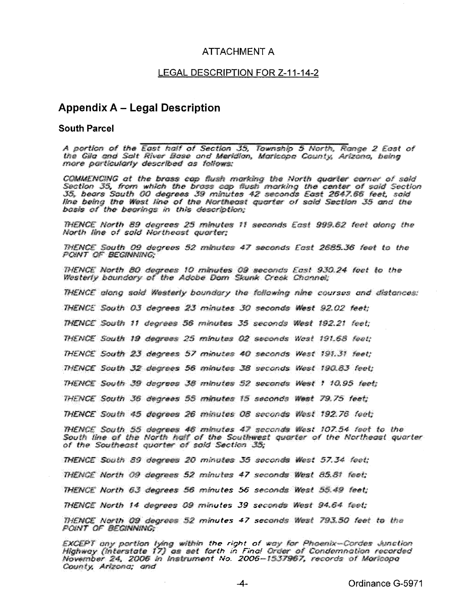### ATTACHMENT A

#### LEGAL DESCRIPTION FOR Z-11-14-2

## **Appendix A- Legal Description**

### **South Parcel**

A portion of the East half of Section 35, Township 5 North, Range 2 East of the Gila and Salt River Base and Meridian, Maricopa County, Arizona, being more particularly described as follows:

COMMENCING at the brass cap flush marking the North quarter carner of said Section 35, from which the brass cap fiush marking the center of said Section 35, bears South 00 degrees 39 minutes 42 seconds East 2647.66 feet, said line being the West line of the Northeast quarter of said Section 35 and the basis of the bearings in this description;

THENCE North 89 degrees 25 minutes 11 seconds East 999.62 feet olong the North line of said Northeast auarter:

THENCE South 09 degrees 52 minutes 47 seconds East 2685.36 feet to the POINT OF BEGINNING

THENCE North 80 degrees 10 minutes 09 seconds East 930.24 feet to the Westerly boundary of the Adobe Dam Skunk Creek Channel;

THENCE along sold Westerly boundary the following nine courses and distances:

THENCE South 03 degrees 23 minutes 30 seconds West 92.02 feet;

THENCE South 11 degrees 56 minutes 35 seconds West 192.21 feet;

THENCE South 19 degrees 25 minutes 02 seconds West 191.68 feet:

THENCE South 23 degrees 57 minutes 40 seconds West 191.31 feet:

THENCE South 32 degrees 56 minutes 38 seconds West 190.83 feet;

THENCE South 39 degrees 38 minutes 52 seconds West 1 10.95 feet;

THENCE South 35 degrees 55 minutes 15 seconds West 79.75 feet;

THENCE South 45 degrees 26 minutes 08 seconds West 192.76 feet;

THENCE South 55 degrees 46 minutes 47 seconds West 107.54 feet to the South line of the North half of the Southwest quarter of the Northeast quarter of the Southeast quarter of said Section 35;

THENCE South 89 degrees 20 minutes 35 seconds West 57.34 feet; THENCE North 09 degrees 52 minutes 47 seconds West 85.81 feet; THENCE North 63 degrees 56 minutes 56 seconds West 55.49 feet; THENCE North 14 degrees 09 minutes 39 seconds West 94.64 feet;

THENCE North 09 degrees 52 minutes 47 seconds West 793.50 feet to the POINT OF BEGINNING

EXCEPT ony portion lying within the right of way for Phoenix-Cordes Junction forth in Final Order instrument No. County, Arizona; and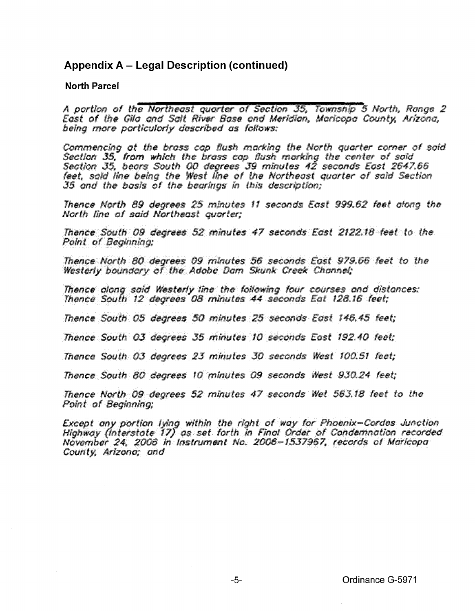# **Appendix A – Legal Description (continued)**

### **North Parcel**

A portion of the Northeast quarter of Section 35, Township 5 North, Range 2 East of the Gila and Salt River Base and Meridian, Maricopa County, Arizona, being more particularly described as follows:

Commencing at the brass cap flush marking the North quarter corner of said Section 35, from which the brass cap flush marking the center of said Section 35, bears South 00 degrees 39 minutes 42 seconds East 2647.66<br>feet, said line being the West line of the Northeast quarter of said Section 35 and the basis of the bearings in this description:

Thence North 89 degrees 25 minutes 11 seconds East 999.62 feet along the North line of said Northeast auarter:

Thence South 09 degrees 52 minutes 47 seconds East 2122.18 feet to the Point of Beginning;

Thence North 80 degrees 09 minutes 56 seconds East 979.66 feet to the Westerly boundary of the Adobe Dam Skunk Creek Channel:

Thence along said Westerly line the following four courses and distances: Thence South 12 degrees 08 minutes 44 seconds Eat 128.16 feet:

Thence South 05 degrees 50 minutes 25 seconds East 146.45 feet;

Thence South 03 degrees 35 minutes 10 seconds East 192.40 feet;

Thence South 03 degrees 23 minutes 30 seconds West 100.51 feet;

Thence South 80 degrees 10 minutes 09 seconds West 930.24 feet;

Thence North 09 degrees 52 minutes 47 seconds Wet 563.18 feet to the **Point of Bealnning** 

Except any portion lying within the right of way for Phoenix-Cordes Junction Highway (Interstate 17) as set forth in Final Order of Condemnation recorded November 24, 2006 in Instrument No. 2006-1537967, records of Maricopa County, Arizona; and